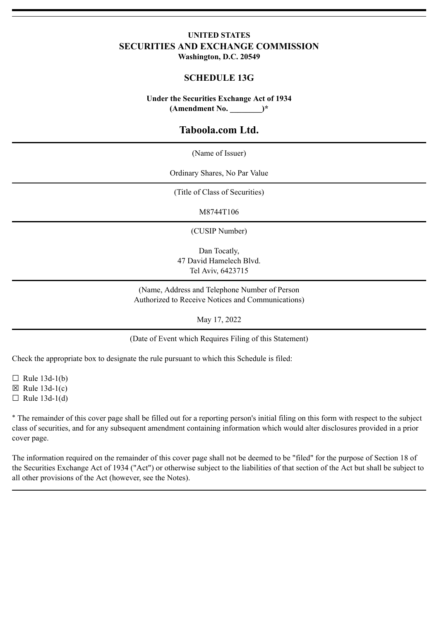### **UNITED STATES SECURITIES AND EXCHANGE COMMISSION Washington, D.C. 20549**

### **SCHEDULE 13G**

**Under the Securities Exchange Act of 1934 (Amendment No. \_\_\_\_\_\_\_\_)\***

## **Taboola.com Ltd.**

(Name of Issuer)

Ordinary Shares, No Par Value

(Title of Class of Securities)

M8744T106

(CUSIP Number)

Dan Tocatly, 47 David Hamelech Blvd. Tel Aviv, 6423715

(Name, Address and Telephone Number of Person Authorized to Receive Notices and Communications)

May 17, 2022

(Date of Event which Requires Filing of this Statement)

Check the appropriate box to designate the rule pursuant to which this Schedule is filed:

 $\Box$  Rule 13d-1(b)

 $\boxtimes$  Rule 13d-1(c)

 $\Box$  Rule 13d-1(d)

\* The remainder of this cover page shall be filled out for a reporting person's initial filing on this form with respect to the subject class of securities, and for any subsequent amendment containing information which would alter disclosures provided in a prior cover page.

The information required on the remainder of this cover page shall not be deemed to be "filed" for the purpose of Section 18 of the Securities Exchange Act of 1934 ("Act") or otherwise subject to the liabilities of that section of the Act but shall be subject to all other provisions of the Act (however, see the Notes).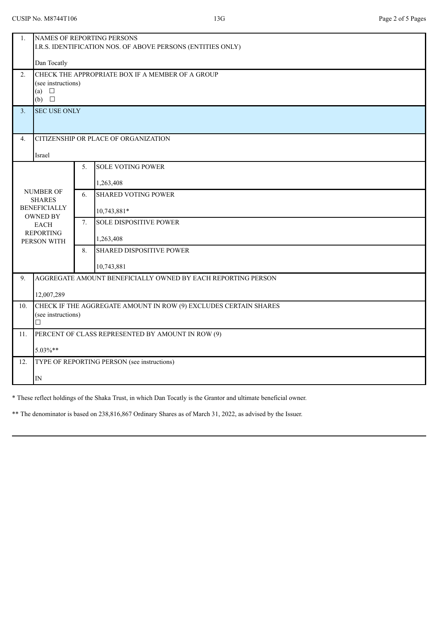| 1.                                                       | NAMES OF REPORTING PERSONS                                       |    |                                 |
|----------------------------------------------------------|------------------------------------------------------------------|----|---------------------------------|
|                                                          | I.R.S. IDENTIFICATION NOS. OF ABOVE PERSONS (ENTITIES ONLY)      |    |                                 |
|                                                          |                                                                  |    |                                 |
|                                                          | Dan Tocatly                                                      |    |                                 |
| 2.                                                       | CHECK THE APPROPRIATE BOX IF A MEMBER OF A GROUP                 |    |                                 |
|                                                          | (see instructions)<br>(a) $\square$                              |    |                                 |
|                                                          | $(b)$ $\square$                                                  |    |                                 |
| 3.                                                       | <b>SEC USE ONLY</b>                                              |    |                                 |
|                                                          |                                                                  |    |                                 |
|                                                          |                                                                  |    |                                 |
| 4.                                                       | CITIZENSHIP OR PLACE OF ORGANIZATION                             |    |                                 |
|                                                          | Israel                                                           |    |                                 |
| <b>SOLE VOTING POWER</b><br>5.                           |                                                                  |    |                                 |
|                                                          |                                                                  |    |                                 |
| <b>NUMBER OF</b><br><b>SHARES</b><br><b>BENEFICIALLY</b> |                                                                  |    | 1,263,408                       |
|                                                          |                                                                  | 6. | <b>SHARED VOTING POWER</b>      |
|                                                          |                                                                  |    |                                 |
| <b>OWNED BY</b>                                          |                                                                  |    | 10,743,881*                     |
| <b>EACH</b><br><b>REPORTING</b><br>PERSON WITH           |                                                                  | 7. | <b>SOLE DISPOSITIVE POWER</b>   |
|                                                          |                                                                  |    | 1,263,408                       |
|                                                          |                                                                  | 8. | <b>SHARED DISPOSITIVE POWER</b> |
|                                                          |                                                                  |    |                                 |
|                                                          |                                                                  |    | 10,743,881                      |
| 9.                                                       | AGGREGATE AMOUNT BENEFICIALLY OWNED BY EACH REPORTING PERSON     |    |                                 |
|                                                          | 12,007,289                                                       |    |                                 |
| 10.                                                      | CHECK IF THE AGGREGATE AMOUNT IN ROW (9) EXCLUDES CERTAIN SHARES |    |                                 |
|                                                          | (see instructions)                                               |    |                                 |
|                                                          | □                                                                |    |                                 |
| 11.                                                      | PERCENT OF CLASS REPRESENTED BY AMOUNT IN ROW (9)                |    |                                 |
|                                                          | 5.03%**                                                          |    |                                 |
| 12.                                                      | TYPE OF REPORTING PERSON (see instructions)                      |    |                                 |
|                                                          |                                                                  |    |                                 |
|                                                          | ${\rm IN}$                                                       |    |                                 |

\* These reflect holdings of the Shaka Trust, in which Dan Tocatly is the Grantor and ultimate beneficial owner.

\*\* The denominator is based on 238,816,867 Ordinary Shares as of March 31, 2022, as advised by the Issuer.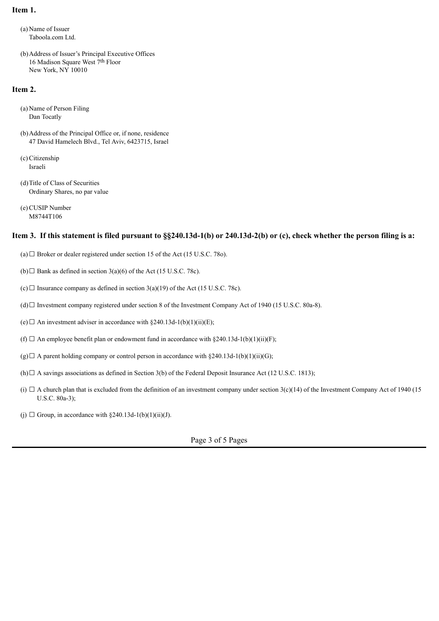### **Item 1.**

(a) Name of Issuer Taboola.com Ltd.

(b)Address of Issuer's Principal Executive Offices 16 Madison Square West 7th Floor New York, NY 10010

#### **Item 2.**

- (a) Name of Person Filing Dan Tocatly
- (b)Address of the Principal Office or, if none, residence 47 David Hamelech Blvd., Tel Aviv, 6423715, Israel
- (c)Citizenship Israeli
- (d)Title of Class of Securities Ordinary Shares, no par value
- (e)CUSIP Number M8744T106

### **Item 3. If this statement is filed pursuant to §§240.13d-1(b) or 240.13d-2(b) or (c), check whether the person filing is a:**

- (a)  $\Box$  Broker or dealer registered under section 15 of the Act (15 U.S.C. 78o).
- (b) $\Box$  Bank as defined in section 3(a)(6) of the Act (15 U.S.C. 78c).
- $(c)$   $\Box$  Insurance company as defined in section 3(a)(19) of the Act (15 U.S.C. 78c).
- (d)☐ Investment company registered under section 8 of the Investment Company Act of 1940 (15 U.S.C. 80a-8).
- (e)  $\Box$  An investment adviser in accordance with §240.13d-1(b)(1)(ii)(E);
- (f)  $\Box$  An employee benefit plan or endowment fund in accordance with §240.13d-1(b)(1)(ii)(F);
- $(g) \Box$  A parent holding company or control person in accordance with §240.13d-1(b)(1)(ii)(G);
- (h) $\Box$  A savings associations as defined in Section 3(b) of the Federal Deposit Insurance Act (12 U.S.C. 1813);
- (i)  $\Box$  A church plan that is excluded from the definition of an investment company under section 3(c)(14) of the Investment Company Act of 1940 (15 U.S.C. 80a-3);
- (j)  $\Box$  Group, in accordance with §240.13d-1(b)(1)(ii)(J).

Page 3 of 5 Pages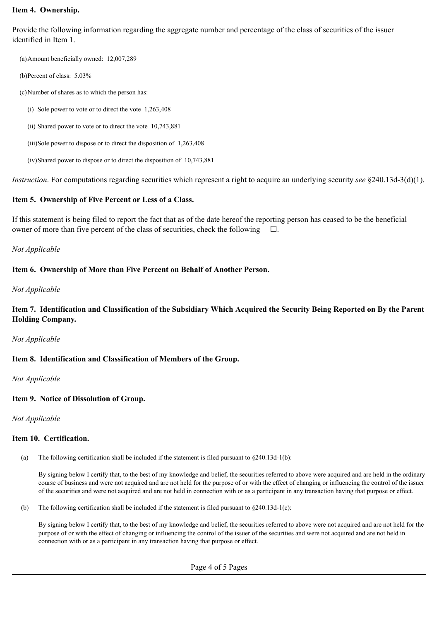### **Item 4. Ownership.**

Provide the following information regarding the aggregate number and percentage of the class of securities of the issuer identified in Item 1.

(a)Amount beneficially owned: 12,007,289

- (b)Percent of class: 5.03%
- (c)Number of shares as to which the person has:
	- (i) Sole power to vote or to direct the vote 1,263,408
	- (ii) Shared power to vote or to direct the vote 10,743,881
	- (iii)Sole power to dispose or to direct the disposition of 1,263,408
	- (iv)Shared power to dispose or to direct the disposition of 10,743,881

*Instruction*. For computations regarding securities which represent a right to acquire an underlying security *see* §240.13d-3(d)(1).

## **Item 5. Ownership of Five Percent or Less of a Class.**

If this statement is being filed to report the fact that as of the date hereof the reporting person has ceased to be the beneficial owner of more than five percent of the class of securities, check the following  $\Box$ .

# *Not Applicable*

# **Item 6. Ownership of More than Five Percent on Behalf of Another Person.**

## *Not Applicable*

**Item 7. Identification and Classification of the Subsidiary Which Acquired the Security Being Reported on By the Parent Holding Company.**

## *Not Applicable*

## **Item 8. Identification and Classification of Members of the Group.**

*Not Applicable*

## **Item 9. Notice of Dissolution of Group.**

*Not Applicable*

### **Item 10. Certification.**

(a) The following certification shall be included if the statement is filed pursuant to  $\frac{8240.13d-1(b)}{2}$ :

By signing below I certify that, to the best of my knowledge and belief, the securities referred to above were acquired and are held in the ordinary course of business and were not acquired and are not held for the purpose of or with the effect of changing or influencing the control of the issuer of the securities and were not acquired and are not held in connection with or as a participant in any transaction having that purpose or effect.

(b) The following certification shall be included if the statement is filed pursuant to §240.13d-1(c):

By signing below I certify that, to the best of my knowledge and belief, the securities referred to above were not acquired and are not held for the purpose of or with the effect of changing or influencing the control of the issuer of the securities and were not acquired and are not held in connection with or as a participant in any transaction having that purpose or effect.